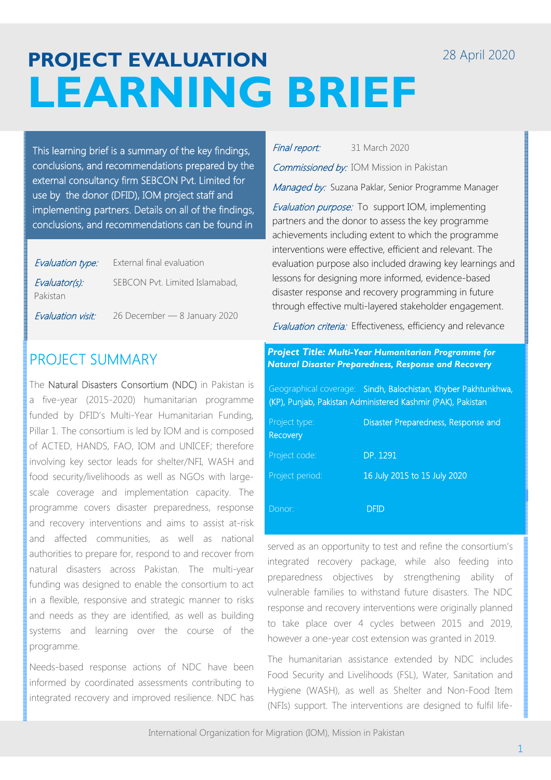## 28 April 2020

# **PROJECT EVALUATION LEARNING BRIEF**

This learning brief is a summary of the key findings, conclusions, and recommendations prepared by the external consultancy firm SEBCON Pvt. Limited for use by the donor (DFID), IOM project staff and implementing partners. Details on all of the findings, conclusions, and recommendations can be found in

| Evaluation type:          | External final evaluation      |
|---------------------------|--------------------------------|
| Evaluator(s):<br>Pakistan | SEBCON Pvt. Limited Islamabad, |
| Evaluation visit:         | 26 December - 8 January 2020   |

# PROJECT SUMMARY

The Natural Disasters Consortium (NDC) in Pakistan is a five-year (2015-2020) humanitarian programme funded by DFID's Multi-Year Humanitarian Funding, Pillar 1. The consortium is led by IOM and is composed of ACTED, HANDS, FAO, IOM and UNICEF; therefore involving key sector leads for shelter/NFI, WASH and food security/livelihoods as well as NGOs with largescale coverage and implementation capacity. The programme covers disaster preparedness, response and recovery interventions and aims to assist at-risk and affected communities, as well as national authorities to prepare for, respond to and recover from natural disasters across Pakistan. The multi-year funding was designed to enable the consortium to act in a flexible, responsive and strategic manner to risks and needs as they are identified, as well as building systems and learning over the course of the programme.

Needs-based response actions of NDC have been informed by coordinated assessments contributing to integrated recovery and improved resilience. NDC has

| Final report:<br>31 March 2020 |
|--------------------------------|
|--------------------------------|

Commissioned by: IOM Mission in Pakistan

Managed by: Suzana Paklar, Senior Programme Manager

**Evaluation purpose:** To support IOM, implementing partners and the donor to assess the key programme achievements including extent to which the programme interventions were effective, efficient and relevant. The evaluation purpose also included drawing key learnings and lessons for designing more informed, evidence-based disaster response and recovery programming in future through effective multi-layered stakeholder engagement.

Evaluation criteria: Effectiveness, efficiency and relevance

*Project Title: Multi-Year Humanitarian Programme for Natural Disaster Preparedness, Response and Recovery* 

Geographical coverage: Sindh, Balochistan, Khyber Pakhtunkhwa, (KP), Punjab, Pakistan Administered Kashmir (PAK), Pakistan

| Project type:<br>Recovery | Disaster Preparedness, Response and |
|---------------------------|-------------------------------------|
| Project code:             | DP. 1291                            |
| Project period:           | 16 July 2015 to 15 July 2020        |
| Donor:                    | DFID                                |

served as an opportunity to test and refine the consortium's integrated recovery package, while also feeding into preparedness objectives by strengthening ability of vulnerable families to withstand future disasters. The NDC response and recovery interventions were originally planned to take place over 4 cycles between 2015 and 2019, however a one-year cost extension was granted in 2019.

The humanitarian assistance extended by NDC includes Food Security and Livelihoods (FSL), Water, Sanitation and Hygiene (WASH), as well as Shelter and Non-Food Item (NFIs) support. The interventions are designed to fulfil life-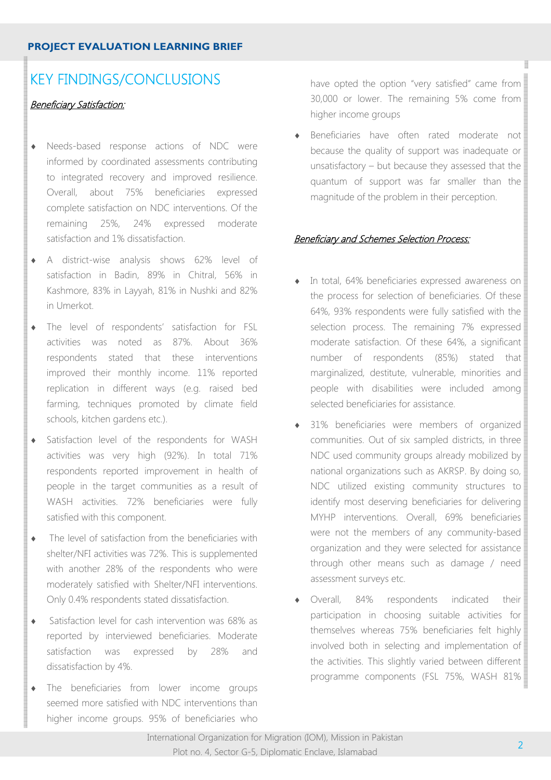#### **PROJECT EVALUATION LEARNING BRIEF**

# KEY FINDINGS/CONCLUSIONS

## **Beneficiary Satisfaction:**

- Needs-based response actions of NDC were informed by coordinated assessments contributing to integrated recovery and improved resilience. Overall, about 75% beneficiaries expressed complete satisfaction on NDC interventions. Of the remaining 25%, 24% expressed moderate satisfaction and 1% dissatisfaction.
- ♦ A district-wise analysis shows 62% level of satisfaction in Badin, 89% in Chitral, 56% in Kashmore, 83% in Layyah, 81% in Nushki and 82% in Umerkot.
- ♦ The level of respondents' satisfaction for FSL activities was noted as 87%. About 36% respondents stated that these interventions improved their monthly income. 11% reported replication in different ways (e.g. raised bed farming, techniques promoted by climate field schools, kitchen gardens etc.).
- ♦ Satisfaction level of the respondents for WASH activities was very high (92%). In total 71% respondents reported improvement in health of people in the target communities as a result of WASH activities. 72% beneficiaries were fully satisfied with this component.
- ♦ The level of satisfaction from the beneficiaries with shelter/NFI activities was 72%. This is supplemented with another 28% of the respondents who were moderately satisfied with Shelter/NFI interventions. Only 0.4% respondents stated dissatisfaction.
- ♦ Satisfaction level for cash intervention was 68% as reported by interviewed beneficiaries. Moderate satisfaction was expressed by 28% and dissatisfaction by 4%.
- ♦ The beneficiaries from lower income groups seemed more satisfied with NDC interventions than higher income groups. 95% of beneficiaries who

have opted the option "very satisfied" came from 30,000 or lower. The remaining  $5\%$  come from higher income groups

Beneficiaries have often rated moderate not because the quality of support was inadequate or unsatisfactory – but because they assessed that the quantum of support was far smaller than the magnitude of the problem in their perception.

## **Beneficiary and Schemes Selection Process:**

- In total, 64% beneficiaries expressed awareness on the process for selection of beneficiaries. Of these 64%, 93% respondents were fully satisfied with the selection process. The remaining 7% expressed moderate satisfaction. Of these 64%, a significant number of respondents (85%) stated that marginalized, destitute, vulnerable, minorities and people with disabilities were included among selected beneficiaries for assistance.
- 31% beneficiaries were members of organized communities. Out of six sampled districts, in three NDC used community groups already mobilized by national organizations such as AKRSP. By doing so, NDC utilized existing community structures to identify most deserving beneficiaries for delivering MYHP interventions. Overall, 69% beneficiaries were not the members of any community-based organization and they were selected for assistance through other means such as damage / need assessment surveys etc.
- Overall, 84% respondents indicated their participation in choosing suitable activities for themselves whereas 75% beneficiaries felt highly involved both in selecting and implementation of the activities. This slightly varied between different programme components (FSL 75%, WASH 81%)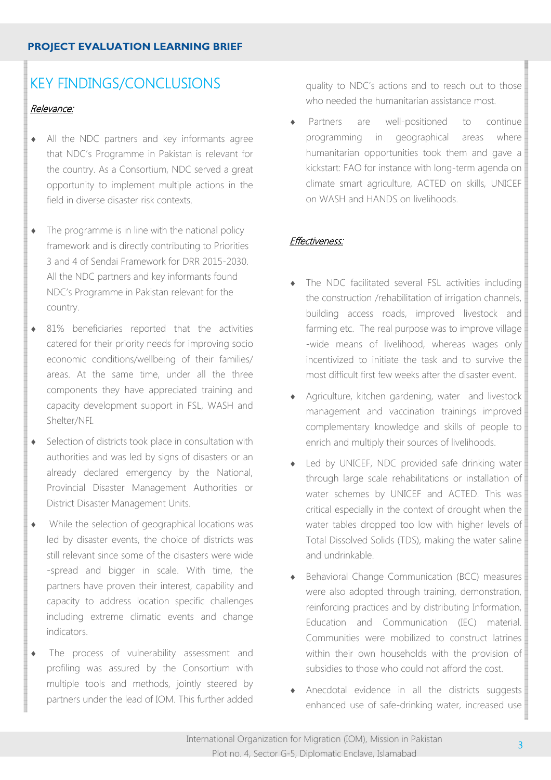# KEY FINDINGS/CONCLUSIONS

## Relevance:

- All the NDC partners and key informants agree that NDC's Programme in Pakistan is relevant for the country. As a Consortium, NDC served a great opportunity to implement multiple actions in the field in diverse disaster risk contexts.
- $\bullet$  The programme is in line with the national policy framework and is directly contributing to Priorities 3 and 4 of Sendai Framework for DRR 2015-2030. All the NDC partners and key informants found NDC's Programme in Pakistan relevant for the country.
- ♦ 81% beneficiaries reported that the activities catered for their priority needs for improving socio economic conditions/wellbeing of their families/ areas. At the same time, under all the three components they have appreciated training and capacity development support in FSL, WASH and Shelter/NFI.
- ♦ Selection of districts took place in consultation with authorities and was led by signs of disasters or an already declared emergency by the National, Provincial Disaster Management Authorities or District Disaster Management Units.
- ♦ While the selection of geographical locations was led by disaster events, the choice of districts was still relevant since some of the disasters were wide -spread and bigger in scale. With time, the partners have proven their interest, capability and capacity to address location specific challenges including extreme climatic events and change indicators.
- The process of vulnerability assessment and profiling was assured by the Consortium with multiple tools and methods, jointly steered by partners under the lead of IOM. This further added

quality to NDC's actions and to reach out to those who needed the humanitarian assistance most.

Partners are well-positioned to continue programming in geographical areas where humanitarian opportunities took them and gave a kickstart: FAO for instance with long-term agenda on climate smart agriculture, ACTED on skills, UNICEF on WASH and HANDS on livelihoods.

## Effectiveness:

- The NDC facilitated several FSL activities including the construction /rehabilitation of irrigation channels, building access roads, improved livestock and farming etc. The real purpose was to improve village -wide means of livelihood, whereas wages only incentivized to initiate the task and to survive the most difficult first few weeks after the disaster event.
- Agriculture, kitchen gardening, water and livestock management and vaccination trainings improved complementary knowledge and skills of people to enrich and multiply their sources of livelihoods.
- Led by UNICEF, NDC provided safe drinking water through large scale rehabilitations or installation of water schemes by UNICEF and ACTED. This was critical especially in the context of drought when the water tables dropped too low with higher levels of Total Dissolved Solids (TDS), making the water saline and undrinkable.
- ♦ Behavioral Change Communication (BCC) measures were also adopted through training, demonstration, reinforcing practices and by distributing Information, Education and Communication (IEC) material. Communities were mobilized to construct latrines within their own households with the provision of subsidies to those who could not afford the cost.
- Anecdotal evidence in all the districts suggests enhanced use of safe-drinking water, increased use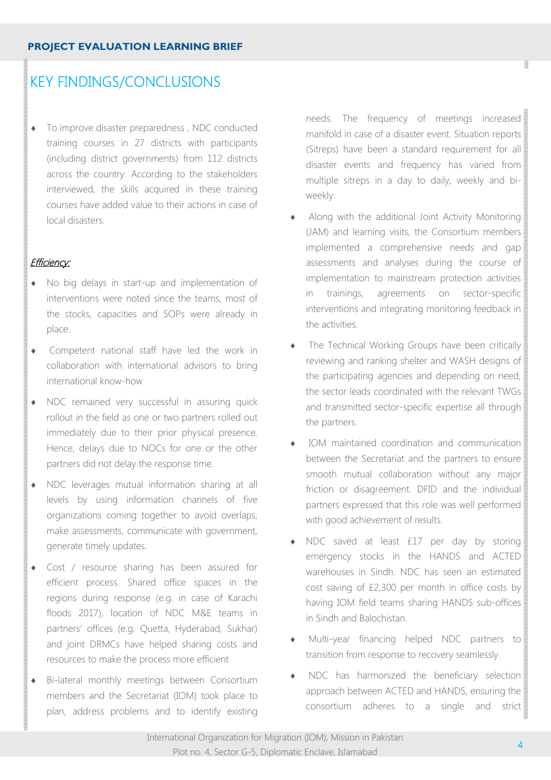# KEY FINDINGS/CONCLUSIONS

♦ To improve disaster preparedness , NDC conducted training courses in 27 districts with participants (including district governments) from 112 districts across the country. According to the stakeholders interviewed, the skills acquired in these training courses have added value to their actions in case of local disasters.

#### Efficiency:

- No big delays in start-up and implementation of interventions were noted since the teams, most of the stocks, capacities and SOPs were already in place.
- ♦ Competent national staff have led the work in collaboration with international advisors to bring international know-how
- ♦ NDC remained very successful in assuring quick rollout in the field as one or two partners rolled out immediately due to their prior physical presence. Hence, delays due to NOCs for one or the other partners did not delay the response time.
- ♦ NDC leverages mutual information sharing at all levels by using information channels of five organizations coming together to avoid overlaps, make assessments, communicate with government, generate timely updates.
- ♦ Cost / resource sharing has been assured for efficient process. Shared office spaces in the regions during response (e.g. in case of Karachi floods 2017), location of NDC M&E teams in partners' offices (e.g. Quetta, Hyderabad, Sukhar) and joint DRMCs have helped sharing costs and resources to make the process more efficient
- ♦ Bi-lateral monthly meetings between Consortium members and the Secretariat (IOM) took place to plan, address problems and to identify existing

needs. The frequency of meetings increased manifold in case of a disaster event. Situation reports (Sitreps) have been a standard requirement for all disaster events and frequency has varied from multiple sitreps in a day to daily, weekly and biweekly.

- Along with the additional Joint Activity Monitoring (JAM) and learning visits, the Consortium members implemented a comprehensive needs and gap assessments and analyses during the course of implementation to mainstream protection activities in trainings, agreements on sector-specific interventions and integrating monitoring feedback in the activities.
- The Technical Working Groups have been critically reviewing and ranking shelter and WASH designs of the participating agencies and depending on need, the sector leads coordinated with the relevant TWGs and transmitted sector-specific expertise all through the partners.
- IOM maintained coordination and communication between the Secretariat and the partners to ensure smooth mutual collaboration without any major friction or disagreement. DFID and the individual partners expressed that this role was well performed with good achievement of results.
- ♦ NDC saved at least £17 per day by storing emergency stocks in the HANDS and ACTED warehouses in Sindh. NDC has seen an estimated cost saving of £2,300 per month in office costs by having IOM field teams sharing HANDS sub-offices in Sindh and Balochistan.
- Multi-year financing helped NDC partners to transition from response to recovery seamlessly.
- NDC has harmonized the beneficiary selection approach between ACTED and HANDS, ensuring the consortium adheres to a single and strict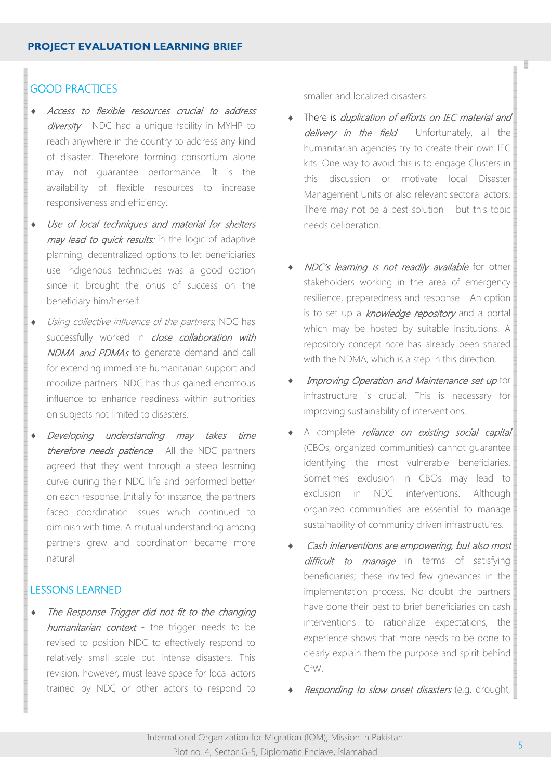## GOOD PRACTICES

- Access to flexible resources crucial to address diversity - NDC had a unique facility in MYHP to reach anywhere in the country to address any kind of disaster. Therefore forming consortium alone may not guarantee performance. It is the availability of flexible resources to increase responsiveness and efficiency.
- ♦ Use of local techniques and material for shelters may lead to quick results: In the logic of adaptive planning, decentralized options to let beneficiaries use indigenous techniques was a good option since it brought the onus of success on the beneficiary him/herself.
- ♦ Using collective influence of the partners, NDC has successfully worked in *close collaboration with* NDMA and PDMAs to generate demand and call for extending immediate humanitarian support and mobilize partners. NDC has thus gained enormous influence to enhance readiness within authorities on subjects not limited to disasters.
- Developing understanding may takes time therefore needs patience - All the NDC partners agreed that they went through a steep learning curve during their NDC life and performed better on each response. Initially for instance, the partners faced coordination issues which continued to diminish with time. A mutual understanding among partners grew and coordination became more natural

## LESSONS LEARNED

The Response Trigger did not fit to the changing humanitarian context - the trigger needs to be revised to position NDC to effectively respond to relatively small scale but intense disasters. This revision, however, must leave space for local actors trained by NDC or other actors to respond to

smaller and localized disasters.

- There is *duplication of efforts on IEC material and* delivery in the field - Unfortunately, all the humanitarian agencies try to create their own IEC kits. One way to avoid this is to engage Clusters in this discussion or motivate local Disaster Management Units or also relevant sectoral actors. There may not be a best solution – but this topic needs deliberation.
- NDC's learning is not readily available for other stakeholders working in the area of emergency resilience, preparedness and response - An option is to set up a knowledge repository and a portal which may be hosted by suitable institutions. A repository concept note has already been shared with the NDMA, which is a step in this direction.
- Improving Operation and Maintenance set up for infrastructure is crucial. This is necessary for improving sustainability of interventions.
- ♦ A complete reliance on existing social capital (CBOs, organized communities) cannot guarantee identifying the most vulnerable beneficiaries. Sometimes exclusion in CBOs may lead to exclusion in NDC interventions. Although organized communities are essential to manage sustainability of community driven infrastructures.
- Cash interventions are empowering, but also most difficult to manage in terms of satisfying beneficiaries; these invited few grievances in the implementation process. No doubt the partners have done their best to brief beneficiaries on cash interventions to rationalize expectations, the experience shows that more needs to be done to clearly explain them the purpose and spirit behind CfW.
- Responding to slow onset disasters (e.g. drought,